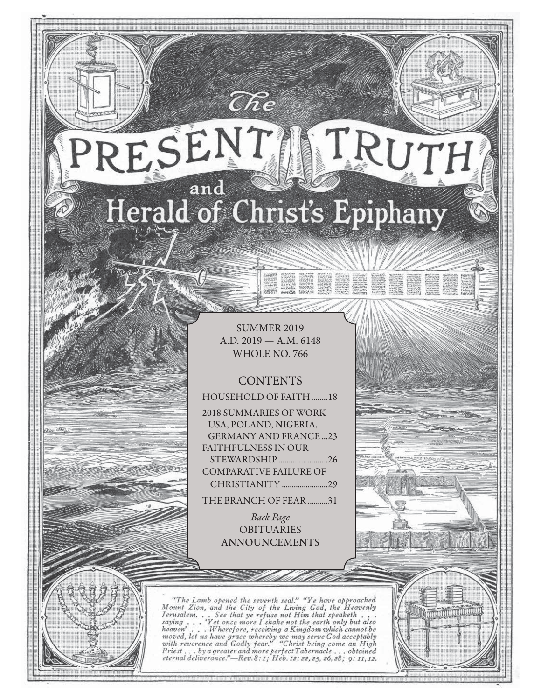# RESENT TRUTH and Herald of Christ's Epiphany

 $\widehat{C}\hspace{-0.6mm}\mathit{\widehat{R}} e$ 

SUMMER 2019 A.D. 2019 — A.M. 6148 WHOLE NO. 766

## **CONTENTS**

HOUSEHOLD OF FAITH ........18 2018 SUMMARIES OF WORK USA, POLAND, NIGERIA, GERMANY AND FRANCE ...23 FAITHFULNESS IN OUR STEWARDSHIP ........................26

COMPARATIVE FAILURE OF CHRISTIANITY .......................29

THE BRANCH OF FEAR ..........31

Back Page **OBITUARIES** ANNOUNCEMENTS

"The Lamb opened the seventh seal." "Ye have approached Mount Zion, and the City of the Living God, the Heavenly Jerusalem... See that ye refuse not Him that speaketh...<br>saying... 'Yet once more I shake not the earth only saying  $\ldots$ heaven'... Wherefore, receiving a Kingdom which cannot be<br>moved, let us have grace whereby we may serve God acceptably<br>with reverence and Godly fear." "Christ being come an High<br>Priest...by a greater and more perfect Taber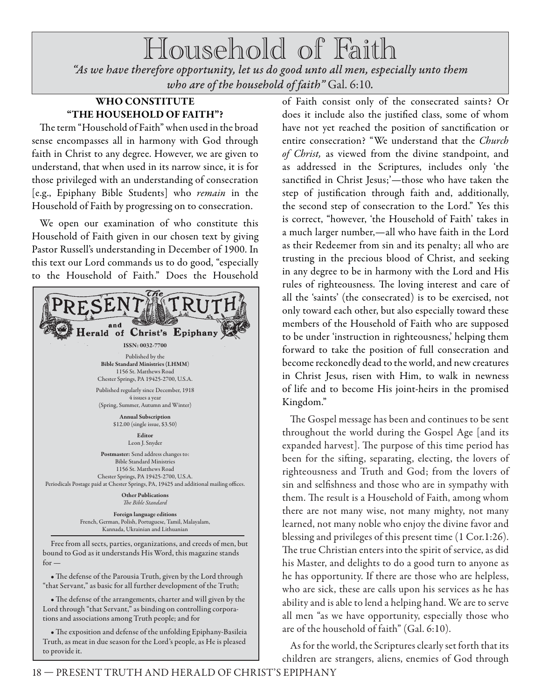Household of Faith *"As we have therefore opportunity, let us do good unto all men, especially unto them who are of the household of faith"* Gal. 6:10.

### **WHO CONSTITUTE "THE HOUSEHOLD OF FAITH"?**

The term "Household of Faith" when used in the broad sense encompasses all in harmony with God through faith in Christ to any degree. However, we are given to understand, that when used in its narrow since, it is for those privileged with an understanding of consecration [e.g., Epiphany Bible Students] who remain in the Household of Faith by progressing on to consecration.

We open our examination of who constitute this Household of Faith given in our chosen text by giving Pastor Russell's understanding in December of 1900. In this text our Lord commands us to do good, "especially to the Household of Faith." Does the Household



• The defense of the Parousia Truth, given by the Lord through "that Servant," as basic for all further development of the Truth;

• The defense of the arrangements, charter and will given by the Lord through "that Servant," as binding on controlling corporations and associations among Truth people; and for

• The exposition and defense of the unfolding Epiphany-Basileia Truth, as meat in due season for the Lord's people, as He is pleased to provide it.

of Faith consist only of the consecrated saints? Or does it include also the justified class, some of whom have not yet reached the position of sanctification or entire consecration? "We understand that the Church of Christ, as viewed from the divine standpoint, and as addressed in the Scriptures, includes only 'the sanctified in Christ Jesus;'-those who have taken the step of justification through faith and, additionally, the second step of consecration to the Lord." Yes this is correct, "however, 'the Household of Faith' takes in a much larger number,—all who have faith in the Lord as their Redeemer from sin and its penalty; all who are trusting in the precious blood of Christ, and seeking in any degree to be in harmony with the Lord and His rules of righteousness. The loving interest and care of all the 'saints' (the consecrated) is to be exercised, not only toward each other, but also especially toward these members of the Household of Faith who are supposed to be under 'instruction in righteousness,' helping them forward to take the position of full consecration and become reckonedly dead to the world, and new creatures in Christ Jesus, risen with Him, to walk in newness of life and to become His joint-heirs in the promised Kingdom."

The Gospel message has been and continues to be sent throughout the world during the Gospel Age [and its expanded harvest]. The purpose of this time period has been for the sifting, separating, electing, the lovers of righteousness and Truth and God; from the lovers of sin and selfishness and those who are in sympathy with them. The result is a Household of Faith, among whom there are not many wise, not many mighty, not many learned, not many noble who enjoy the divine favor and blessing and privileges of this present time (1 Cor.1:26). The true Christian enters into the spirit of service, as did his Master, and delights to do a good turn to anyone as he has opportunity. If there are those who are helpless, who are sick, these are calls upon his services as he has ability and is able to lend a helping hand. We are to serve all men "as we have opportunity, especially those who are of the household of faith" (Gal. 6:10).

As for the world, the Scriptures clearly set forth that its children are strangers, aliens, enemies of God through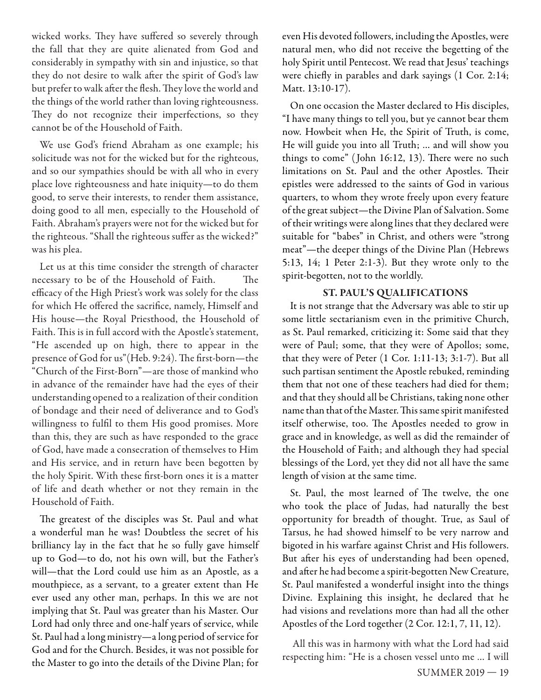wicked works. They have suffered so severely through the fall that they are quite alienated from God and considerably in sympathy with sin and injustice, so that they do not desire to walk after the spirit of God's law but prefer to walk after the flesh. They love the world and the things of the world rather than loving righteousness. They do not recognize their imperfections, so they cannot be of the Household of Faith.

We use God's friend Abraham as one example; his solicitude was not for the wicked but for the righteous, and so our sympathies should be with all who in every place love righteousness and hate iniquity—to do them good, to serve their interests, to render them assistance, doing good to all men, especially to the Household of Faith. Abraham's prayers were not for the wicked but for the righteous. "Shall the righteous suffer as the wicked?" was his plea.

Let us at this time consider the strength of character necessary to be of the Household of Faith. The efficacy of the High Priest's work was solely for the class for which He offered the sacrifice, namely, Himself and His house—the Royal Priesthood, the Household of Faith. This is in full accord with the Apostle's statement, "He ascended up on high, there to appear in the presence of God for us"(Heb. 9:24). The first-born-the "Church of the First-Born"—are those of mankind who in advance of the remainder have had the eyes of their understanding opened to a realization of their condition of bondage and their need of deliverance and to God's willingness to fulfil to them His good promises. More than this, they are such as have responded to the grace of God, have made a consecration of themselves to Him and His service, and in return have been begotten by the holy Spirit. With these first-born ones it is a matter of life and death whether or not they remain in the Household of Faith.

The greatest of the disciples was St. Paul and what a wonderful man he was! Doubtless the secret of his brilliancy lay in the fact that he so fully gave himself up to God—to do, not his own will, but the Father's will—that the Lord could use him as an Apostle, as a mouthpiece, as a servant, to a greater extent than He ever used any other man, perhaps. In this we are not implying that St. Paul was greater than his Master. Our Lord had only three and one-half years of service, while St. Paul had a long ministry—a long period of service for God and for the Church. Besides, it was not possible for the Master to go into the details of the Divine Plan; for even His devoted followers, including the Apostles, were natural men, who did not receive the begetting of the holy Spirit until Pentecost. We read that Jesus' teachings were chiefly in parables and dark sayings  $(1 \text{ Cor. } 2:14;$ Matt. 13:10-17).

On one occasion the Master declared to His disciples, "I have many things to tell you, but ye cannot bear them now. Howbeit when He, the Spirit of Truth, is come, He will guide you into all Truth; … and will show you things to come" (John 16:12, 13). There were no such limitations on St. Paul and the other Apostles. Their epistles were addressed to the saints of God in various quarters, to whom they wrote freely upon every feature of the great subject—the Divine Plan of Salvation. Some of their writings were along lines that they declared were suitable for "babes" in Christ, and others were "strong meat"—the deeper things of the Divine Plan (Hebrews 5:13, 14; 1 Peter 2:1-3). But they wrote only to the spirit-begotten, not to the worldly.

#### **ST. PAUL'S QUALIFICATIONS**

It is not strange that the Adversary was able to stir up some little sectarianism even in the primitive Church, as St. Paul remarked, criticizing it: Some said that they were of Paul; some, that they were of Apollos; some, that they were of Peter (1 Cor. 1:11-13; 3:1-7). But all such partisan sentiment the Apostle rebuked, reminding them that not one of these teachers had died for them; and that they should all be Christians, taking none other name than that of the Master. This same spirit manifested itself otherwise, too. The Apostles needed to grow in grace and in knowledge, as well as did the remainder of the Household of Faith; and although they had special blessings of the Lord, yet they did not all have the same length of vision at the same time.

St. Paul, the most learned of The twelve, the one who took the place of Judas, had naturally the best opportunity for breadth of thought. True, as Saul of Tarsus, he had showed himself to be very narrow and bigoted in his warfare against Christ and His followers. But after his eyes of understanding had been opened, and after he had become a spirit-begotten New Creature, St. Paul manifested a wonderful insight into the things Divine. Explaining this insight, he declared that he had visions and revelations more than had all the other Apostles of the Lord together (2 Cor. 12:1, 7, 11, 12).

All this was in harmony with what the Lord had said respecting him: "He is a chosen vessel unto me … I will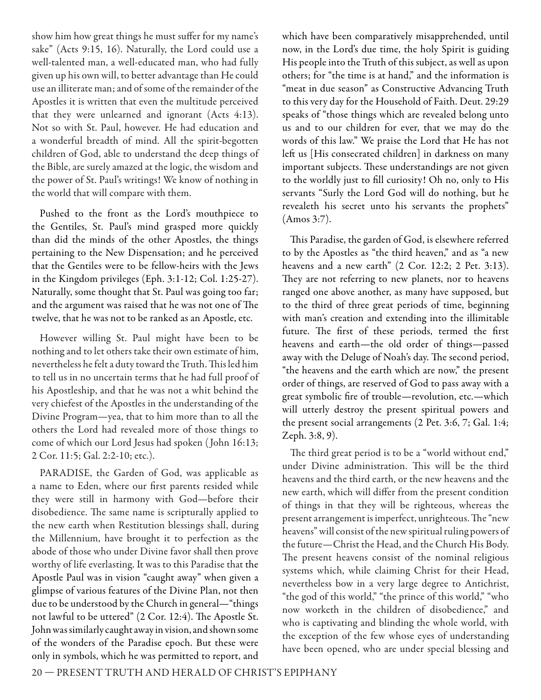show him how great things he must suffer for my name's sake" (Acts 9:15, 16). Naturally, the Lord could use a well-talented man, a well-educated man, who had fully given up his own will, to better advantage than He could use an illiterate man; and of some of the remainder of the Apostles it is written that even the multitude perceived that they were unlearned and ignorant (Acts 4:13). Not so with St. Paul, however. He had education and a wonderful breadth of mind. All the spirit-begotten children of God, able to understand the deep things of the Bible, are surely amazed at the logic, the wisdom and the power of St. Paul's writings! We know of nothing in the world that will compare with them.

Pushed to the front as the Lord's mouthpiece to the Gentiles, St. Paul's mind grasped more quickly than did the minds of the other Apostles, the things pertaining to the New Dispensation; and he perceived that the Gentiles were to be fellow-heirs with the Jews in the Kingdom privileges (Eph. 3:1-12; Col. 1:25-27). Naturally, some thought that St. Paul was going too far; and the argument was raised that he was not one of The twelve, that he was not to be ranked as an Apostle, etc.

However willing St. Paul might have been to be nothing and to let others take their own estimate of him, nevertheless he felt a duty toward the Truth. This led him to tell us in no uncertain terms that he had full proof of his Apostleship, and that he was not a whit behind the very chiefest of the Apostles in the understanding of the Divine Program—yea, that to him more than to all the others the Lord had revealed more of those things to come of which our Lord Jesus had spoken ( John 16:13; 2 Cor. 11:5; Gal. 2:2-10; etc.).

PARADISE, the Garden of God, was applicable as a name to Eden, where our first parents resided while they were still in harmony with God—before their disobedience. The same name is scripturally applied to the new earth when Restitution blessings shall, during the Millennium, have brought it to perfection as the abode of those who under Divine favor shall then prove worthy of life everlasting. It was to this Paradise that the Apostle Paul was in vision "caught away" when given a glimpse of various features of the Divine Plan, not then due to be understood by the Church in general-"things not lawful to be uttered" (2 Cor. 12:4). The Apostle St. John was similarly caught away in vision, and shown some of the wonders of the Paradise epoch. But these were only in symbols, which he was permitted to report, and

which have been comparatively misapprehended, until now, in the Lord's due time, the holy Spirit is guiding His people into the Truth of this subject, as well as upon others; for "the time is at hand," and the information is "meat in due season" as Constructive Advancing Truth to this very day for the Household of Faith. Deut. 29:29 speaks of "those things which are revealed belong unto us and to our children for ever, that we may do the words of this law." We praise the Lord that He has not left us [His consecrated children] in darkness on many important subjects. These understandings are not given to the worldly just to fill curiosity! Oh no, only to His servants "Surly the Lord God will do nothing, but he revealeth his secret unto his servants the prophets" (Amos 3:7).

This Paradise, the garden of God, is elsewhere referred to by the Apostles as "the third heaven," and as "a new heavens and a new earth" (2 Cor. 12:2; 2 Pet. 3:13). They are not referring to new planets, nor to heavens ranged one above another, as many have supposed, but to the third of three great periods of time, beginning with man's creation and extending into the illimitable future. The first of these periods, termed the first heavens and earth—the old order of things—passed away with the Deluge of Noah's day. The second period, "the heavens and the earth which are now," the present order of things, are reserved of God to pass away with a great symbolic fire of trouble—revolution, etc.—which will utterly destroy the present spiritual powers and the present social arrangements (2 Pet. 3:6, 7; Gal. 1:4; Zeph. 3:8, 9).

The third great period is to be a "world without end," under Divine administration. This will be the third heavens and the third earth, or the new heavens and the new earth, which will differ from the present condition of things in that they will be righteous, whereas the present arrangement is imperfect, unrighteous. The "new heavens" will consist of the new spiritual ruling powers of the future—Christ the Head, and the Church His Body. The present heavens consist of the nominal religious systems which, while claiming Christ for their Head, nevertheless bow in a very large degree to Antichrist, "the god of this world," "the prince of this world," "who now worketh in the children of disobedience," and who is captivating and blinding the whole world, with the exception of the few whose eyes of understanding have been opened, who are under special blessing and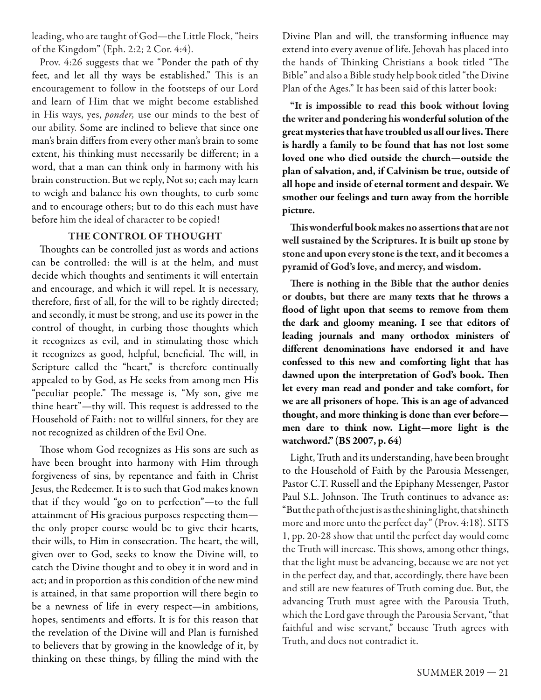leading, who are taught of God—the Little Flock, "heirs of the Kingdom" (Eph. 2:2; 2 Cor. 4:4).

Prov. 4:26 suggests that we "Ponder the path of thy feet, and let all thy ways be established." This is an encouragement to follow in the footsteps of our Lord and learn of Him that we might become established in His ways, yes, ponder, use our minds to the best of our ability. Some are inclined to believe that since one man's brain differs from every other man's brain to some extent, his thinking must necessarily be different; in a word, that a man can think only in harmony with his brain construction. But we reply, Not so; each may learn to weigh and balance his own thoughts, to curb some and to encourage others; but to do this each must have before him the ideal of character to be copied!

#### **THE CONTROL OF THOUGHT**

Thoughts can be controlled just as words and actions can be controlled: the will is at the helm, and must decide which thoughts and sentiments it will entertain and encourage, and which it will repel. It is necessary, therefore, first of all, for the will to be rightly directed; and secondly, it must be strong, and use its power in the control of thought, in curbing those thoughts which it recognizes as evil, and in stimulating those which it recognizes as good, helpful, beneficial. The will, in Scripture called the "heart," is therefore continually appealed to by God, as He seeks from among men His "peculiar people." The message is, "My son, give me thine heart"-thy will. This request is addressed to the Household of Faith: not to willful sinners, for they are not recognized as children of the Evil One.

Those whom God recognizes as His sons are such as have been brought into harmony with Him through forgiveness of sins, by repentance and faith in Christ Jesus, the Redeemer. It is to such that God makes known that if they would "go on to perfection"—to the full attainment of His gracious purposes respecting them the only proper course would be to give their hearts, their wills, to Him in consecration. The heart, the will, given over to God, seeks to know the Divine will, to catch the Divine thought and to obey it in word and in act; and in proportion as this condition of the new mind is attained, in that same proportion will there begin to be a newness of life in every respect—in ambitions, hopes, sentiments and efforts. It is for this reason that the revelation of the Divine will and Plan is furnished to believers that by growing in the knowledge of it, by thinking on these things, by filling the mind with the

Divine Plan and will, the transforming influence may extend into every avenue of life. Jehovah has placed into the hands of Thinking Christians a book titled "The Bible" and also a Bible study help book titled "the Divine Plan of the Ages." It has been said of this latter book:

**"It is impossible to read this book without loving the writer and pondering his wonderful solution of the**  great mysteries that have troubled us all our lives. There **is hardly a family to be found that has not lost some loved one who died outside the church—outside the plan of salvation, and, if Calvinism be true, outside of all hope and inside of eternal torment and despair. We smother our feelings and turn away from the horrible picture.**

**This wonderful book makes no assertions that are not well sustained by the Scriptures. It is built up stone by stone and upon every stone is the text, and it becomes a pyramid of God's love, and mercy, and wisdom.**

There is nothing in the Bible that the author denies **or doubts, but there are many texts that he throws a flood of light upon that seems to remove from them the dark and gloomy meaning. I see that editors of leading journals and many orthodox ministers of diff erent denominations have endorsed it and have confessed to this new and comforting light that has**  dawned upon the interpretation of God's book. Then **let every man read and ponder and take comfort, for**  we are all prisoners of hope. This is an age of advanced **thought, and more thinking is done than ever before men dare to think now. Light—more light is the watchword." (BS 2007, p. 64)**

Light, Truth and its understanding, have been brought to the Household of Faith by the Parousia Messenger, Pastor C.T. Russell and the Epiphany Messenger, Pastor Paul S.L. Johnson. The Truth continues to advance as: "But the path of the just is as the shining light, that shineth more and more unto the perfect day" (Prov. 4:18). SITS 1, pp. 20-28 show that until the perfect day would come the Truth will increase. This shows, among other things, that the light must be advancing, because we are not yet in the perfect day, and that, accordingly, there have been and still are new features of Truth coming due. But, the advancing Truth must agree with the Parousia Truth, which the Lord gave through the Parousia Servant, "that faithful and wise servant," because Truth agrees with Truth, and does not contradict it.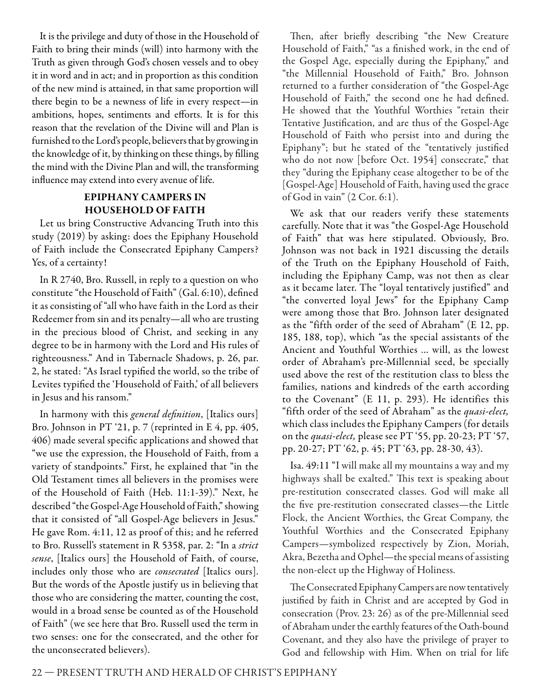It is the privilege and duty of those in the Household of Faith to bring their minds (will) into harmony with the Truth as given through God's chosen vessels and to obey it in word and in act; and in proportion as this condition of the new mind is attained, in that same proportion will there begin to be a newness of life in every respect—in ambitions, hopes, sentiments and efforts. It is for this reason that the revelation of the Divine will and Plan is furnished to the Lord's people, believers that by growing in the knowledge of it, by thinking on these things, by filling the mind with the Divine Plan and will, the transforming influence may extend into every avenue of life.

#### **EPIPHANY CAMPERS IN HOUSEHOLD OF FAITH**

Let us bring Constructive Advancing Truth into this study (2019) by asking: does the Epiphany Household of Faith include the Consecrated Epiphany Campers? Yes, of a certainty!

In R 2740, Bro. Russell, in reply to a question on who constitute "the Household of Faith" (Gal. 6:10), defined it as consisting of "all who have faith in the Lord as their Redeemer from sin and its penalty—all who are trusting in the precious blood of Christ, and seeking in any degree to be in harmony with the Lord and His rules of righteousness." And in Tabernacle Shadows, p. 26, par. 2, he stated: "As Israel typified the world, so the tribe of Levites typified the 'Household of Faith,' of all believers in Jesus and his ransom."

In harmony with this general definition, [Italics ours] Bro. Johnson in PT '21, p. 7 (reprinted in E 4, pp. 405, 406) made several specific applications and showed that "we use the expression, the Household of Faith, from a variety of standpoints." First, he explained that "in the Old Testament times all believers in the promises were of the Household of Faith (Heb. 11:1-39)." Next, he described "the Gospel-Age Household of Faith," showing that it consisted of "all Gospel-Age believers in Jesus." He gave Rom. 4:11, 12 as proof of this; and he referred to Bro. Russell's statement in R 5358, par. 2: "In a strict sense, [Italics ours] the Household of Faith, of course, includes only those who are *consecrated* [Italics ours]. But the words of the Apostle justify us in believing that those who are considering the matter, counting the cost, would in a broad sense be counted as of the Household of Faith" (we see here that Bro. Russell used the term in two senses: one for the consecrated, and the other for the unconsecrated believers).

Then, after briefly describing "the New Creature Household of Faith," "as a finished work, in the end of the Gospel Age, especially during the Epiphany," and "the Millennial Household of Faith," Bro. Johnson returned to a further consideration of "the Gospel-Age Household of Faith," the second one he had defined. He showed that the Youthful Worthies "retain their Tentative Justification, and are thus of the Gospel-Age Household of Faith who persist into and during the Epiphany"; but he stated of the "tentatively justified who do not now [before Oct. 1954] consecrate," that they "during the Epiphany cease altogether to be of the [Gospel-Age] Household of Faith, having used the grace of God in vain" (2 Cor. 6:1).

We ask that our readers verify these statements carefully. Note that it was "the Gospel-Age Household of Faith" that was here stipulated. Obviously, Bro. Johnson was not back in 1921 discussing the details of the Truth on the Epiphany Household of Faith, including the Epiphany Camp, was not then as clear as it became later. The "loyal tentatively justified" and "the converted loyal Jews" for the Epiphany Camp were among those that Bro. Johnson later designated as the "fifth order of the seed of Abraham" (E 12, pp. 185, 188, top), which "as the special assistants of the Ancient and Youthful Worthies … will, as the lowest order of Abraham's pre-Millennial seed, be specially used above the rest of the restitution class to bless the families, nations and kindreds of the earth according to the Covenant" (E 11, p. 293). He identifies this "fifth order of the seed of Abraham" as the *quasi-elect*, which class includes the Epiphany Campers (for details on the *quasi-elect*, please see PT '55, pp. 20-23; PT '57, pp. 20-27; PT '62, p. 45; PT '63, pp. 28-30, 43).

Isa. 49:11 "I will make all my mountains a way and my highways shall be exalted." This text is speaking about pre-restitution consecrated classes. God will make all the five pre-restitution consecrated classes-the Little Flock, the Ancient Worthies, the Great Company, the Youthful Worthies and the Consecrated Epiphany Campers—symbolized respectively by Zion, Moriah, Akra, Bezetha and Ophel—the special means of assisting the non-elect up the Highway of Holiness.

The Consecrated Epiphany Campers are now tentatively justified by faith in Christ and are accepted by God in consecration (Prov. 23: 26) as of the pre-Millennial seed of Abraham under the earthly features of the Oath-bound Covenant, and they also have the privilege of prayer to God and fellowship with Him. When on trial for life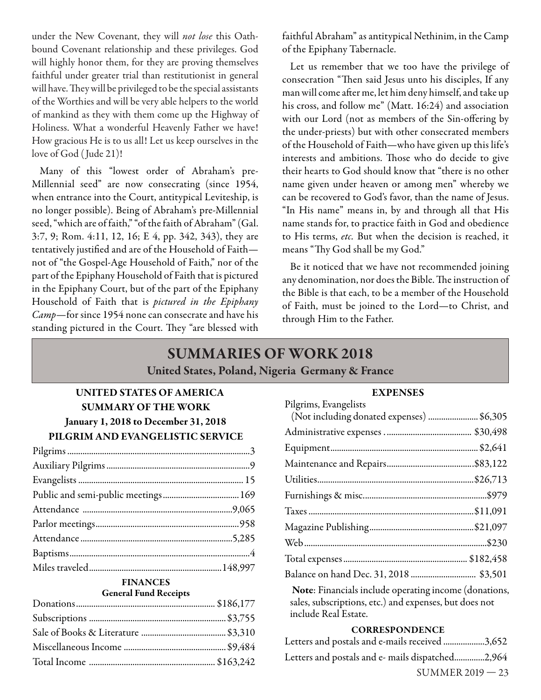under the New Covenant, they will *not lose* this Oathbound Covenant relationship and these privileges. God will highly honor them, for they are proving themselves faithful under greater trial than restitutionist in general will have. They will be privileged to be the special assistants of the Worthies and will be very able helpers to the world of mankind as they with them come up the Highway of Holiness. What a wonderful Heavenly Father we have! How gracious He is to us all! Let us keep ourselves in the love of God ( Jude 21)!

Many of this "lowest order of Abraham's pre-Millennial seed" are now consecrating (since 1954, when entrance into the Court, antitypical Leviteship, is no longer possible). Being of Abraham's pre-Millennial seed, "which are of faith," "of the faith of Abraham" (Gal. 3:7, 9; Rom. 4:11, 12, 16; E 4, pp. 342, 343), they are tentatively justified and are of the Household of Faithnot of "the Gospel-Age Household of Faith," nor of the part of the Epiphany Household of Faith that is pictured in the Epiphany Court, but of the part of the Epiphany Household of Faith that is pictured in the Epiphany Camp-for since 1954 none can consecrate and have his standing pictured in the Court. They "are blessed with

faithful Abraham" as antitypical Nethinim, in the Camp of the Epiphany Tabernacle.

Let us remember that we too have the privilege of consecration "Then said Jesus unto his disciples, If any man will come after me, let him deny himself, and take up his cross, and follow me" (Matt. 16:24) and association with our Lord (not as members of the Sin-offering by the under-priests) but with other consecrated members of the Household of Faith—who have given up this life's interests and ambitions. Those who do decide to give their hearts to God should know that "there is no other name given under heaven or among men" whereby we can be recovered to God's favor, than the name of Jesus. "In His name" means in, by and through all that His name stands for, to practice faith in God and obedience to His terms, etc. But when the decision is reached, it means "Thy God shall be my God."

Be it noticed that we have not recommended joining any denomination, nor does the Bible. The instruction of the Bible is that each, to be a member of the Household of Faith, must be joined to the Lord—to Christ, and through Him to the Father.

## **SUMMARIES OF WORK 2018 United States, Poland, Nigeria Germany & France**

## **UNITED STATES OF AMERICA SUMMARY OF THE WORK January 1, 2018 to December 31, 2018 PILGRIM AND EVANGELISTIC SERVICE**

#### **FINANCES General Fund Receipts**

#### **EXPENSES**

| Pilgrims, Evangelists                                        |
|--------------------------------------------------------------|
| (Not including donated expenses)  \$6,305                    |
|                                                              |
|                                                              |
|                                                              |
|                                                              |
|                                                              |
|                                                              |
|                                                              |
|                                                              |
|                                                              |
|                                                              |
| <b>Note:</b> Financials include operating income (donations, |

sales, subscriptions, etc.) and expenses, but does not include Real Estate.

#### **CORRESPONDENCE**

| Letters and postals and e-mails received 3,652   |  |
|--------------------------------------------------|--|
| Letters and postals and e- mails dispatched2,964 |  |

SUMMER 2019 — 23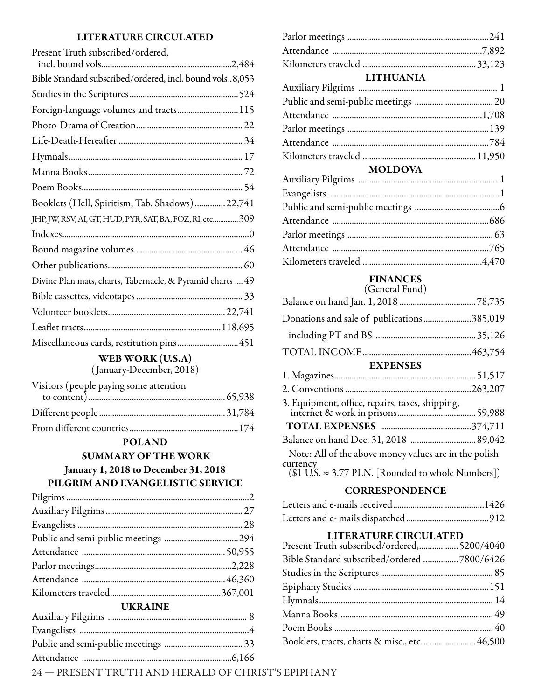#### **LITERATURE CIRCULATED**

| Present Truth subscribed/ordered,                          |
|------------------------------------------------------------|
|                                                            |
| Bible Standard subscribed/ordered, incl. bound vols8,053   |
|                                                            |
| Foreign-language volumes and tracts 115                    |
|                                                            |
|                                                            |
|                                                            |
|                                                            |
|                                                            |
| Booklets (Hell, Spiritism, Tab. Shadows)  22,741           |
| JHP, JW, RSV, AI, GT, HUD, PYR, SAT, BA, FOZ, RI, etc 309  |
|                                                            |
|                                                            |
|                                                            |
| Divine Plan mats, charts, Tabernacle, & Pyramid charts  49 |
|                                                            |
|                                                            |
|                                                            |
| Miscellaneous cards, restitution pins451                   |

**WEB WORK (U.S.A)**

( January-December, 2018)

| Visitors (people paying some attention |  |
|----------------------------------------|--|
|                                        |  |
|                                        |  |
|                                        |  |

#### **POLAND**

 **SUMMARY OF THE WORK January 1, 2018 to December 31, 2018**

## **PILGRIM AND EVANGELISTIC SERVICE**

| <b>UKRAINE</b> |  |
|----------------|--|
|                |  |
|                |  |
|                |  |
|                |  |

| <b>LITHUANIA</b> |  |
|------------------|--|
|                  |  |
|                  |  |
|                  |  |
|                  |  |
|                  |  |
|                  |  |
| <b>MOLDOVA</b>   |  |

## **FINANCES**

| (General Fund)                                                    |  |
|-------------------------------------------------------------------|--|
|                                                                   |  |
| Donations and sale of publications385,019                         |  |
|                                                                   |  |
|                                                                   |  |
| <b>EXPENSES</b>                                                   |  |
|                                                                   |  |
|                                                                   |  |
| 3. Equipment, office, repairs, taxes, shipping,                   |  |
|                                                                   |  |
|                                                                   |  |
| Note: All of the above money values are in the polish<br>currency |  |
| $($1 U.S. \approx 3.77 PLN.$ [Rounded to whole Numbers])          |  |

#### **CORRESPONDENCE**

#### **LITERATURE CIRCULATED**

| Present Truth subscribed/ordered, 5200/4040  |  |
|----------------------------------------------|--|
| Bible Standard subscribed/ordered 7800/6426  |  |
|                                              |  |
|                                              |  |
|                                              |  |
|                                              |  |
|                                              |  |
| Booklets, tracts, charts & misc., etc 46,500 |  |

24 — PRESENT TRUTH AND HERALD OF CHRIST'S EPIPHANY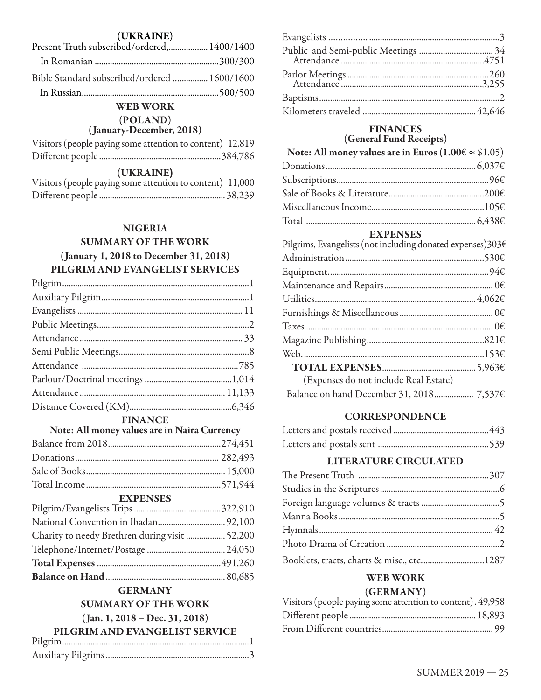#### **(UKRAINE)**

| Present Truth subscribed/ordered, 1400/1400  |  |
|----------------------------------------------|--|
|                                              |  |
| Bible Standard subscribed/ordered  1600/1600 |  |
|                                              |  |

#### **WEB WORK**

#### **(POLAND)**

#### **( January-December, 2018)**

| Visitors (people paying some attention to content) 12,819 |  |  |  |  |
|-----------------------------------------------------------|--|--|--|--|
|                                                           |  |  |  |  |

#### $(UKRAINE)$

|  | Visitors (people paying some attention to content) 11,000 |  |
|--|-----------------------------------------------------------|--|
|  |                                                           |  |

### **NIGERIA**

## **SUMMARY OF THE WORK**

#### **( January 1, 2018 to December 31, 2018) PILGRIM AND EVANGELIST SERVICES**

| ${\bf Pilgrim}\\$ |  |
|-------------------|--|
|                   |  |
|                   |  |
|                   |  |
|                   |  |
|                   |  |
|                   |  |
|                   |  |
|                   |  |
|                   |  |

#### **FINANCE**

| Note: All money values are in Naira Currency |  |  |
|----------------------------------------------|--|--|
|                                              |  |  |
|                                              |  |  |
|                                              |  |  |
|                                              |  |  |

## **EXPENSES**

| Charity to needy Brethren during visit  52,200 |  |
|------------------------------------------------|--|
|                                                |  |
|                                                |  |
|                                                |  |

## **GERMANY**

## **SUMMARY OF THE WORK**

**( Jan. 1, 2018 – Dec. 31, 2018) PILGRIM AND EVANGELIST GEDVICE** 

| PILGRIM AND EVANGELIST SERVICE |  |
|--------------------------------|--|
|                                |  |
|                                |  |
|                                |  |
|                                |  |

#### **FINANCES (General Fund Receipts)**

| Note: All money values are in Euros $(1.00 \in \approx $1.05)$ |  |
|----------------------------------------------------------------|--|
|                                                                |  |
|                                                                |  |
|                                                                |  |
|                                                                |  |
|                                                                |  |
| <b>EXPENSES</b>                                                |  |
| Pilgrims, Evangelists (not including donated expenses)303€     |  |
|                                                                |  |
|                                                                |  |
|                                                                |  |
|                                                                |  |
|                                                                |  |
|                                                                |  |
|                                                                |  |
|                                                                |  |
|                                                                |  |
| (Expenses do not include Real Estate)                          |  |
| Balance on hand December 31, 2018 7,537€                       |  |

#### **CORRESPONDENCE**

#### **LITERATURE CIRCULATED**

| Booklets, tracts, charts & misc., etc1287 |  |
|-------------------------------------------|--|

#### **WEB WORK**

#### **(GERMANY)**

| Visitors (people paying some attention to content). 49,958 |  |
|------------------------------------------------------------|--|
|                                                            |  |
|                                                            |  |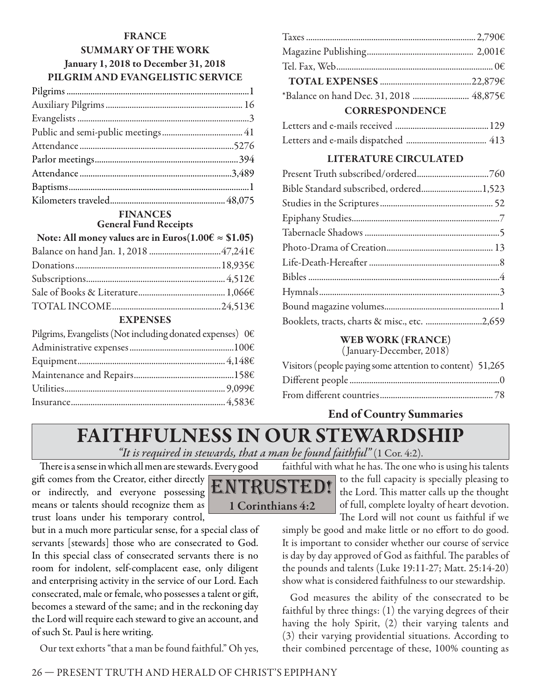## **FRANCE SUMMARY OF THE WORK January 1, 2018 to December 31, 2018 PILGRIM AND EVANGELISTIC SERVICE**

#### **FINANCES General Fund Receipts**

| Note: All money values are in Euros( $1.00 \in \approx $1.05$ ) |  |  |
|-----------------------------------------------------------------|--|--|
|                                                                 |  |  |
|                                                                 |  |  |
|                                                                 |  |  |
|                                                                 |  |  |
|                                                                 |  |  |
|                                                                 |  |  |

#### **EXPENSES**

| Pilgrims, Evangelists (Not including donated expenses) $0 \in$ |  |
|----------------------------------------------------------------|--|
|                                                                |  |
|                                                                |  |
|                                                                |  |
|                                                                |  |
|                                                                |  |

| <b>CORRESPONDENCE</b> |  |  |
|-----------------------|--|--|
|                       |  |  |
|                       |  |  |
|                       |  |  |
|                       |  |  |
|                       |  |  |

#### **LITERATURE CIRCULATED**

| Bible Standard subscribed, ordered1,523      |  |
|----------------------------------------------|--|
|                                              |  |
|                                              |  |
|                                              |  |
|                                              |  |
|                                              |  |
|                                              |  |
|                                              |  |
|                                              |  |
| Booklets, tracts, charts & misc., etc. 2,659 |  |

## **WEB WORK (FRANCE)**

( January-December, 2018)

| Visitors (people paying some attention to content) 51,265 |  |
|-----------------------------------------------------------|--|
|                                                           |  |
|                                                           |  |

## **End of Country Summaries**

## **FAITHFULNESS IN OUR STEWARDSHIP**

*"It is required in stewards, that a man be found faithful"* (1 Cor. 4:2).

There is a sense in which all men are stewards. Every good gift comes from the Creator, either directly or indirectly, and everyone possessing means or talents should recognize them as trust loans under his temporary control,

ISTE. **1 Corinthians 4:2**

faithful with what he has. The one who is using his talents to the full capacity is specially pleasing to the Lord. This matter calls up the thought of full, complete loyalty of heart devotion. The Lord will not count us faithful if we

simply be good and make little or no effort to do good. It is important to consider whether our course of service is day by day approved of God as faithful. The parables of the pounds and talents (Luke 19:11-27; Matt. 25:14-20) show what is considered faithfulness to our stewardship.

God measures the ability of the consecrated to be faithful by three things: (1) the varying degrees of their having the holy Spirit, (2) their varying talents and (3) their varying providential situations. According to their combined percentage of these, 100% counting as

but in a much more particular sense, for a special class of servants [stewards] those who are consecrated to God. In this special class of consecrated servants there is no room for indolent, self-complacent ease, only diligent and enterprising activity in the service of our Lord. Each consecrated, male or female, who possesses a talent or gift, becomes a steward of the same; and in the reckoning day the Lord will require each steward to give an account, and of such St. Paul is here writing.

Our text exhorts "that a man be found faithful." Oh yes,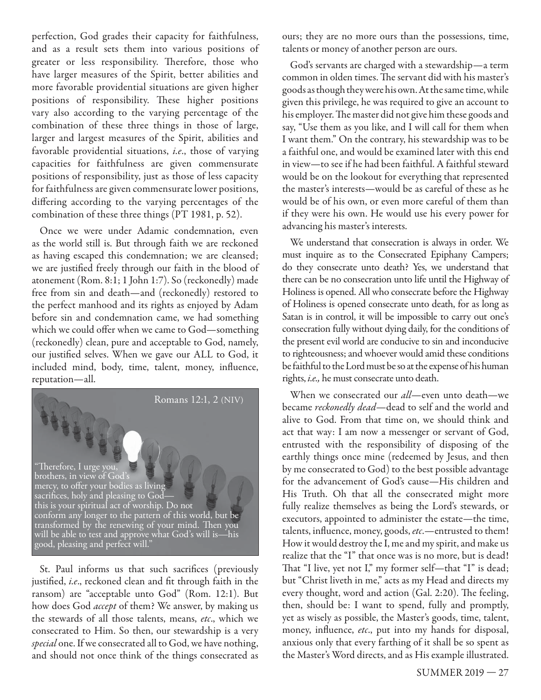perfection, God grades their capacity for faithfulness, and as a result sets them into various positions of greater or less responsibility. Therefore, those who have larger measures of the Spirit, better abilities and more favorable providential situations are given higher positions of responsibility. These higher positions vary also according to the varying percentage of the combination of these three things in those of large, larger and largest measures of the Spirit, abilities and favorable providential situations, i.e., those of varying capacities for faithfulness are given commensurate positions of responsibility, just as those of less capacity for faithfulness are given commensurate lower positions, differing according to the varying percentages of the combination of these three things (PT 1981, p. 52).

Once we were under Adamic condemnation, even as the world still is. But through faith we are reckoned as having escaped this condemnation; we are cleansed; we are justified freely through our faith in the blood of atonement (Rom. 8:1; 1 John 1:7). So (reckonedly) made free from sin and death—and (reckonedly) restored to the perfect manhood and its rights as enjoyed by Adam before sin and condemnation came, we had something which we could offer when we came to God—something (reckonedly) clean, pure and acceptable to God, namely, our justified selves. When we gave our ALL to God, it included mind, body, time, talent, money, influence, reputation—all.



St. Paul informs us that such sacrifices (previously justified, i.e., reckoned clean and fit through faith in the ransom) are "acceptable unto God" (Rom. 12:1). But how does God *accept* of them? We answer, by making us the stewards of all those talents, means, etc., which we consecrated to Him. So then, our stewardship is a very special one. If we consecrated all to God, we have nothing, and should not once think of the things consecrated as ours; they are no more ours than the possessions, time, talents or money of another person are ours.

God's servants are charged with a stewardship—a term common in olden times. The servant did with his master's goods as though they were his own. At the same time, while given this privilege, he was required to give an account to his employer. The master did not give him these goods and say, "Use them as you like, and I will call for them when I want them." On the contrary, his stewardship was to be a faithful one, and would be examined later with this end in view—to see if he had been faithful. A faithful steward would be on the lookout for everything that represented the master's interests—would be as careful of these as he would be of his own, or even more careful of them than if they were his own. He would use his every power for advancing his master's interests.

We understand that consecration is always in order. We must inquire as to the Consecrated Epiphany Campers; do they consecrate unto death? Yes, we understand that there can be no consecration unto life until the Highway of Holiness is opened. All who consecrate before the Highway of Holiness is opened consecrate unto death, for as long as Satan is in control, it will be impossible to carry out one's consecration fully without dying daily, for the conditions of the present evil world are conducive to sin and inconducive to righteousness; and whoever would amid these conditions be faithful to the Lord must be so at the expense of his human rights, i.e., he must consecrate unto death.

When we consecrated our *all*—even unto death—we became reckonedly dead—dead to self and the world and alive to God. From that time on, we should think and act that way: I am now a messenger or servant of God, entrusted with the responsibility of disposing of the earthly things once mine (redeemed by Jesus, and then by me consecrated to God) to the best possible advantage for the advancement of God's cause—His children and His Truth. Oh that all the consecrated might more fully realize themselves as being the Lord's stewards, or executors, appointed to administer the estate—the time, talents, influence, money, goods, etc.-- entrusted to them! How it would destroy the I, me and my spirit, and make us realize that the "I" that once was is no more, but is dead! That "I live, yet not I," my former self—that "I" is dead; but "Christ liveth in me," acts as my Head and directs my every thought, word and action (Gal. 2:20). The feeling, then, should be: I want to spend, fully and promptly, yet as wisely as possible, the Master's goods, time, talent, money, influence, etc., put into my hands for disposal, anxious only that every farthing of it shall be so spent as the Master's Word directs, and as His example illustrated.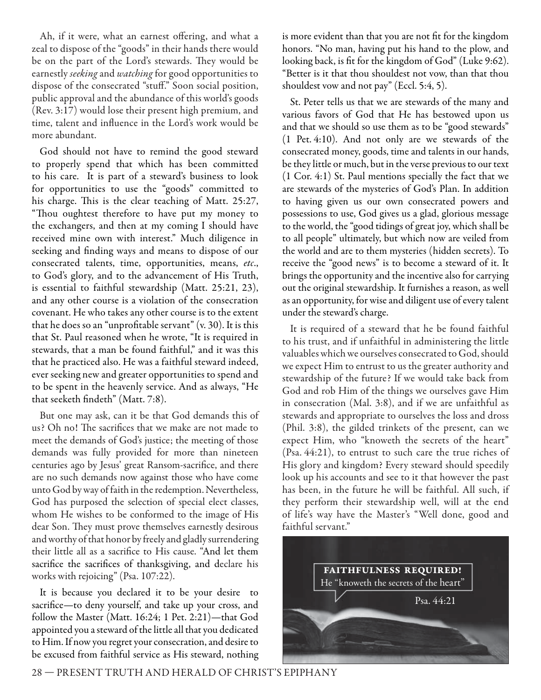Ah, if it were, what an earnest offering, and what a zeal to dispose of the "goods" in their hands there would be on the part of the Lord's stewards. They would be earnestly seeking and watching for good opportunities to dispose of the consecrated "stuff." Soon social position, public approval and the abundance of this world's goods (Rev. 3:17) would lose their present high premium, and time, talent and influence in the Lord's work would be more abundant.

God should not have to remind the good steward to properly spend that which has been committed to his care. It is part of a steward's business to look for opportunities to use the "goods" committed to his charge. This is the clear teaching of Matt. 25:27, "Thou oughtest therefore to have put my money to the exchangers, and then at my coming I should have received mine own with interest." Much diligence in seeking and finding ways and means to dispose of our consecrated talents, time, opportunities, means, etc., to God's glory, and to the advancement of His Truth, is essential to faithful stewardship (Matt. 25:21, 23), and any other course is a violation of the consecration covenant. He who takes any other course is to the extent that he does so an "unprofitable servant"  $(v. 30)$ . It is this that St. Paul reasoned when he wrote, "It is required in stewards, that a man be found faithful," and it was this that he practiced also. He was a faithful steward indeed, ever seeking new and greater opportunities to spend and to be spent in the heavenly service. And as always, "He that seeketh findeth" (Matt. 7:8).

But one may ask, can it be that God demands this of us? Oh no! The sacrifices that we make are not made to meet the demands of God's justice; the meeting of those demands was fully provided for more than nineteen centuries ago by Jesus' great Ransom-sacrifice, and there are no such demands now against those who have come unto God by way of faith in the redemption. Nevertheless, God has purposed the selection of special elect classes, whom He wishes to be conformed to the image of His dear Son. They must prove themselves earnestly desirous and worthy of that honor by freely and gladly surrendering their little all as a sacrifice to His cause. "And let them sacrifice the sacrifices of thanksgiving, and declare his works with rejoicing" (Psa. 107:22).

It is because you declared it to be your desire to sacrifice—to deny yourself, and take up your cross, and follow the Master (Matt. 16:24; 1 Pet. 2:21)—that God appointed you a steward of the little all that you dedicated to Him. If now you regret your consecration, and desire to be excused from faithful service as His steward, nothing

is more evident than that you are not fit for the kingdom honors. "No man, having put his hand to the plow, and looking back, is fit for the kingdom of God" (Luke 9:62). "Better is it that thou shouldest not vow, than that thou shouldest vow and not pay" (Eccl. 5:4, 5).

St. Peter tells us that we are stewards of the many and various favors of God that He has bestowed upon us and that we should so use them as to be "good stewards" (1 Pet. 4:10). And not only are we stewards of the consecrated money, goods, time and talents in our hands, be they little or much, but in the verse previous to our text (1 Cor. 4:1) St. Paul mentions specially the fact that we are stewards of the mysteries of God's Plan. In addition to having given us our own consecrated powers and possessions to use, God gives us a glad, glorious message to the world, the "good tidings of great joy, which shall be to all people" ultimately, but which now are veiled from the world and are to them mysteries (hidden secrets). To receive the "good news" is to become a steward of it. It brings the opportunity and the incentive also for carrying out the original stewardship. It furnishes a reason, as well as an opportunity, for wise and diligent use of every talent under the steward's charge.

It is required of a steward that he be found faithful to his trust, and if unfaithful in administering the little valuables which we ourselves consecrated to God, should we expect Him to entrust to us the greater authority and stewardship of the future? If we would take back from God and rob Him of the things we ourselves gave Him in consecration (Mal. 3:8), and if we are unfaithful as stewards and appropriate to ourselves the loss and dross (Phil. 3:8), the gilded trinkets of the present, can we expect Him, who "knoweth the secrets of the heart" (Psa. 44:21), to entrust to such care the true riches of His glory and kingdom? Every steward should speedily look up his accounts and see to it that however the past has been, in the future he will be faithful. All such, if they perform their stewardship well, will at the end of life's way have the Master's "Well done, good and faithful servant."

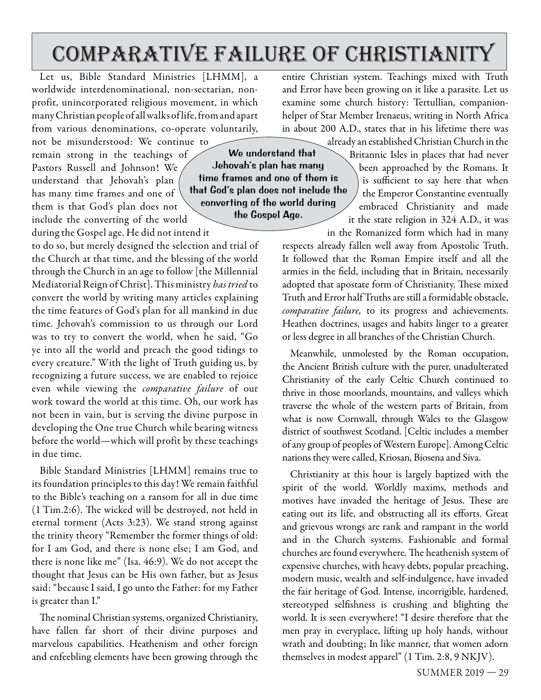## comparative failure of christianity

converting of the world during the Gospel Age.

Let us, Bible Standard Ministries [LHMM], a worldwide interdenominational, non-sectarian, nonprofit, unincorporated religious movement, in which many Christian people of all walks of life, from and apart from various denominations, co-operate voluntarily,

not be misunderstood: We continue to remain strong in the teachings of Pastors Russell and Johnson! We understand that Jehovah's plan has many time frames and one of them is that God's plan does not include the converting of the world during the Gospel age. He did not intend it

to do so, but merely designed the selection and trial of the Church at that time, and the blessing of the world through the Church in an age to follow [the Millennial Mediatorial Reign of Christ]. This ministry has tried to convert the world by writing many articles explaining the time features of God's plan for all mankind in due time. Jehovah's commission to us through our Lord was to try to convert the world, when he said, "Go ye into all the world and preach the good tidings to every creature." With the light of Truth guiding us, by recognizing a future success, we are enabled to rejoice even while viewing the comparative failure of our work toward the world at this time. Oh, our work has not been in vain, but is serving the divine purpose in developing the One true Church while bearing witness before the world—which will profit by these teachings in due time.

Bible Standard Ministries [LHMM] remains true to its foundation principles to this day! We remain faithful to the Bible's teaching on a ransom for all in due time  $(1 Tim.2:6)$ . The wicked will be destroyed, not held in eternal torment (Acts 3:23). We stand strong against the trinity theory "Remember the former things of old: for I am God, and there is none else; I am God, and there is none like me" (Isa. 46:9). We do not accept the thought that Jesus can be His own father, but as Jesus said: "because I said, I go unto the Father: for my Father is greater than I."

The nominal Christian systems, organized Christianity, have fallen far short of their divine purposes and marvelous capabilities. Heathenism and other foreign and enfeebling elements have been growing through the

entire Christian system. Teachings mixed with Truth and Error have been growing on it like a parasite. Let us examine some church history: Tertullian, companionhelper of Star Member Irenaeus, writing in North Africa in about 200 A.D., states that in his lifetime there was already an established Christian Church in the

Britannic Isles in places that had never been approached by the Romans. It is sufficient to say here that when We understand that Jehovah's plan has many time frames and one of them is that God's plan does not include the

the Emperor Constantine eventually embraced Christianity and made it the state religion in 324 A.D., it was

in the Romanized form which had in many respects already fallen well away from Apostolic Truth. It followed that the Roman Empire itself and all the armies in the field, including that in Britain, necessarily adopted that apostate form of Christianity. These mixed Truth and Error half Truths are still a formidable obstacle, comparative failure, to its progress and achievements. Heathen doctrines, usages and habits linger to a greater or less degree in all branches of the Christian Church.

Meanwhile, unmolested by the Roman occupation, the Ancient British culture with the purer, unadulterated Christianity of the early Celtic Church continued to thrive in those moorlands, mountains, and valleys which traverse the whole of the western parts of Britain, from what is now Cornwall, through Wales to the Glasgow district of southwest Scotland. [Celtic includes a member of any group of peoples of Western Europe]. Among Celtic nations they were called, Kriosan, Biosena and Siva.

Christianity at this hour is largely baptized with the spirit of the world. Worldly maxims, methods and motives have invaded the heritage of Jesus. These are eating out its life, and obstructing all its efforts. Great and grievous wrongs are rank and rampant in the world and in the Church systems. Fashionable and formal churches are found everywhere. The heathenish system of expensive churches, with heavy debts, popular preaching, modern music, wealth and self-indulgence, have invaded the fair heritage of God. Intense, incorrigible, hardened, stereotyped selfishness is crushing and blighting the world. It is seen everywhere! "I desire therefore that the men pray in everyplace, lifting up holy hands, without wrath and doubting; In like manner, that women adorn themselves in modest apparel" (1 Tim. 2:8, 9 NKJV).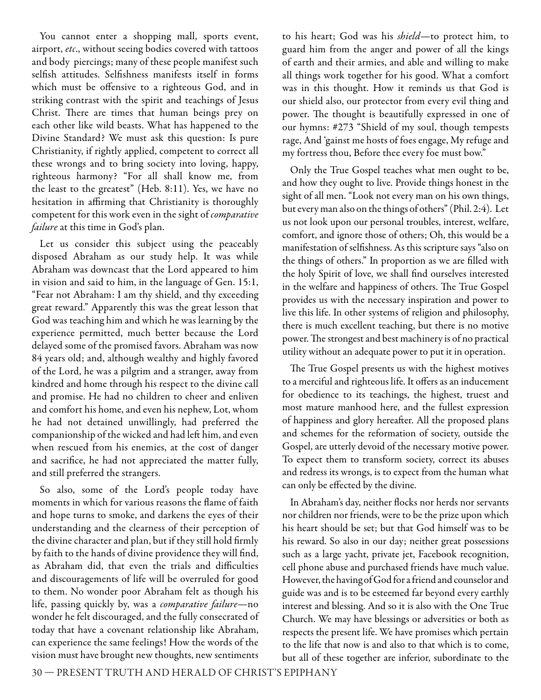You cannot enter a shopping mall, sports event, airport, etc., without seeing bodies covered with tattoos and body piercings; many of these people manifest such selfish attitudes. Selfishness manifests itself in forms which must be offensive to a righteous God, and in striking contrast with the spirit and teachings of Jesus Christ. There are times that human beings prey on each other like wild beasts. What has happened to the Divine Standard? We must ask this question: Is pure Christianity, if rightly applied, competent to correct all these wrongs and to bring society into loving, happy, righteous harmony? "For all shall know me, from the least to the greatest" (Heb. 8:11). Yes, we have no hesitation in affirming that Christianity is thoroughly competent for this work even in the sight of comparative failure at this time in God's plan.

Let us consider this subject using the peaceably disposed Abraham as our study help. It was while Abraham was downcast that the Lord appeared to him in vision and said to him, in the language of Gen. 15:1, "Fear not Abraham: I am thy shield, and thy exceeding great reward." Apparently this was the great lesson that God was teaching him and which he was learning by the experience permitted, much better because the Lord delayed some of the promised favors. Abraham was now 84 years old; and, although wealthy and highly favored of the Lord, he was a pilgrim and a stranger, away from kindred and home through his respect to the divine call and promise. He had no children to cheer and enliven and comfort his home, and even his nephew, Lot, whom he had not detained unwillingly, had preferred the companionship of the wicked and had left him, and even when rescued from his enemies, at the cost of danger and sacrifice, he had not appreciated the matter fully, and still preferred the strangers.

So also, some of the Lord's people today have moments in which for various reasons the flame of faith and hope turns to smoke, and darkens the eyes of their understanding and the clearness of their perception of the divine character and plan, but if they still hold firmly by faith to the hands of divine providence they will find, as Abraham did, that even the trials and difficulties and discouragements of life will be overruled for good to them. No wonder poor Abraham felt as though his life, passing quickly by, was a comparative failure—no wonder he felt discouraged, and the fully consecrated of today that have a covenant relationship like Abraham, can experience the same feelings! How the words of the vision must have brought new thoughts, new sentiments

to his heart; God was his *shield*—to protect him, to guard him from the anger and power of all the kings of earth and their armies, and able and willing to make all things work together for his good. What a comfort was in this thought. How it reminds us that God is our shield also, our protector from every evil thing and power. The thought is beautifully expressed in one of our hymns: #273 "Shield of my soul, though tempests rage, And 'gainst me hosts of foes engage, My refuge and my fortress thou, Before thee every foe must bow."

Only the True Gospel teaches what men ought to be, and how they ought to live. Provide things honest in the sight of all men. "Look not every man on his own things, but every man also on the things of others" (Phil. 2:4). Let us not look upon our personal troubles, interest, welfare, comfort, and ignore those of others; Oh, this would be a manifestation of selfishness. As this scripture says "also on the things of others." In proportion as we are filled with the holy Spirit of love, we shall find ourselves interested in the welfare and happiness of others. The True Gospel provides us with the necessary inspiration and power to live this life. In other systems of religion and philosophy, there is much excellent teaching, but there is no motive power. The strongest and best machinery is of no practical utility without an adequate power to put it in operation.

The True Gospel presents us with the highest motives to a merciful and righteous life. It offers as an inducement for obedience to its teachings, the highest, truest and most mature manhood here, and the fullest expression of happiness and glory hereafter. All the proposed plans and schemes for the reformation of society, outside the Gospel, are utterly devoid of the necessary motive power. To expect them to transform society, correct its abuses and redress its wrongs, is to expect from the human what can only be effected by the divine.

In Abraham's day, neither flocks nor herds nor servants nor children nor friends, were to be the prize upon which his heart should be set; but that God himself was to be his reward. So also in our day; neither great possessions such as a large yacht, private jet, Facebook recognition, cell phone abuse and purchased friends have much value. However, the having of God for a friend and counselor and guide was and is to be esteemed far beyond every earthly interest and blessing. And so it is also with the One True Church. We may have blessings or adversities or both as respects the present life. We have promises which pertain to the life that now is and also to that which is to come, but all of these together are inferior, subordinate to the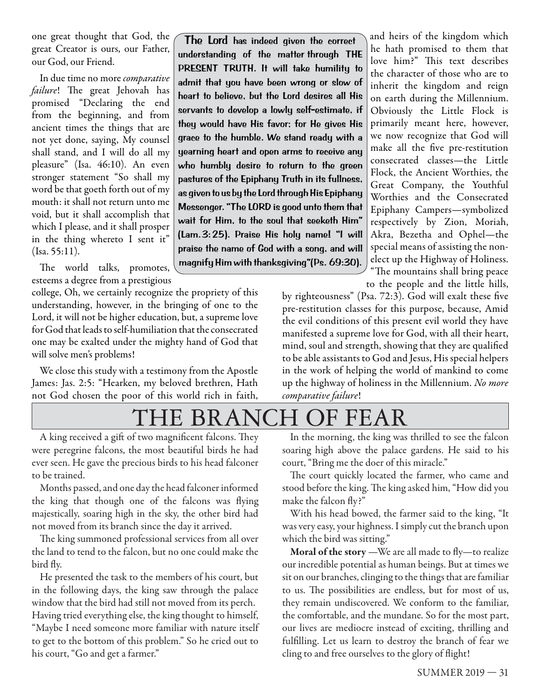one great thought that God, the great Creator is ours, our Father, our God, our Friend.

In due time no more comparative failure! The great Jehovah has promised "Declaring the end from the beginning, and from ancient times the things that are not yet done, saying, My counsel shall stand, and I will do all my pleasure" (Isa. 46:10). An even stronger statement "So shall my word be that goeth forth out of my mouth: it shall not return unto me void, but it shall accomplish that which I please, and it shall prosper in the thing whereto I sent it" (Isa. 55:11).

The world talks, promotes, esteems a degree from a prestigious

college, Oh, we certainly recognize the propriety of this understanding, however, in the bringing of one to the Lord, it will not be higher education, but, a supreme love for God that leads to self-humiliation that the consecrated one may be exalted under the mighty hand of God that will solve men's problems!

We close this study with a testimony from the Apostle James: Jas. 2:5: "Hearken, my beloved brethren, Hath not God chosen the poor of this world rich in faith,

The Lord has indeed given the correct understanding of the matter through THE PRESENT TRUTH. It will take humility to admit that you have been wrong or slow of heart to believe, but the Lord desires all His servants to develop a lowly self-estimate, if they would have His favor; for He gives His grace to the humble. We stand ready with a yearning heart and open arms to receive any who humbly desire to return to the green pastures of the Epiphany Truth in its fullness, as given to us by the Lord through His Epiphany Messenger. "The LORD is good unto them that wait for Him, to the soul that seeketh Him" (Lam. 3: 25). Praise His holy name! "I will praise the name of God with a song, and will magnify Him with thanksgiving"(Ps. 69:30).

and heirs of the kingdom which he hath promised to them that love him?" This text describes the character of those who are to inherit the kingdom and reign on earth during the Millennium. Obviously the Little Flock is primarily meant here, however, we now recognize that God will make all the five pre-restitution consecrated classes—the Little Flock, the Ancient Worthies, the Great Company, the Youthful Worthies and the Consecrated Epiphany Campers—symbolized respectively by Zion, Moriah, Akra, Bezetha and Ophel—the special means of assisting the nonelect up the Highway of Holiness. "The mountains shall bring peace to the people and the little hills,

by righteousness" (Psa.  $72:3$ ). God will exalt these five pre-restitution classes for this purpose, because, Amid the evil conditions of this present evil world they have manifested a supreme love for God, with all their heart, mind, soul and strength, showing that they are qualified to be able assistants to God and Jesus, His special helpers in the work of helping the world of mankind to come up the highway of holiness in the Millennium. No more comparative failure!

THE BRANCH OF FEAR

A king received a gift of two magnificent falcons. They were peregrine falcons, the most beautiful birds he had ever seen. He gave the precious birds to his head falconer to be trained.

Months passed, and one day the head falconer informed the king that though one of the falcons was flying majestically, soaring high in the sky, the other bird had not moved from its branch since the day it arrived.

The king summoned professional services from all over the land to tend to the falcon, but no one could make the bird fly.

He presented the task to the members of his court, but in the following days, the king saw through the palace window that the bird had still not moved from its perch. Having tried everything else, the king thought to himself, "Maybe I need someone more familiar with nature itself to get to the bottom of this problem." So he cried out to his court, "Go and get a farmer."

In the morning, the king was thrilled to see the falcon soaring high above the palace gardens. He said to his court, "Bring me the doer of this miracle."

The court quickly located the farmer, who came and stood before the king. The king asked him, "How did you make the falcon fly?"

With his head bowed, the farmer said to the king, "It was very easy, your highness. I simply cut the branch upon which the bird was sitting."

**Moral of the story** —We are all made to fly—to realize our incredible potential as human beings. But at times we sit on our branches, clinging to the things that are familiar to us. The possibilities are endless, but for most of us, they remain undiscovered. We conform to the familiar, the comfortable, and the mundane. So for the most part, our lives are mediocre instead of exciting, thrilling and fulfilling. Let us learn to destroy the branch of fear we cling to and free ourselves to the glory of flight!